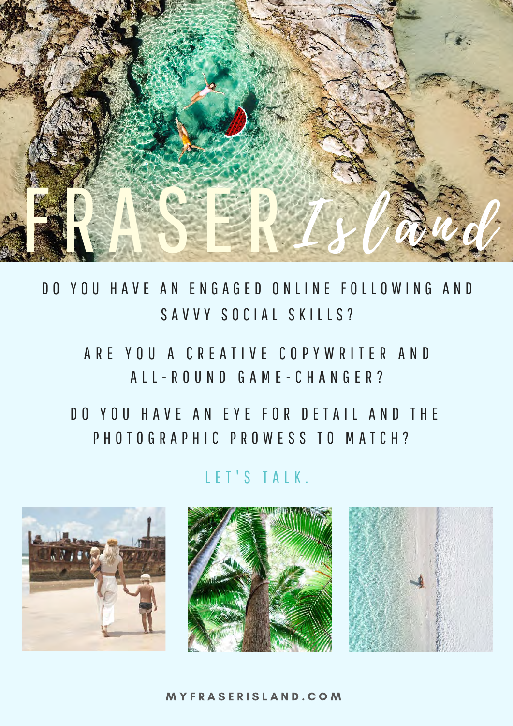

D O Y O U H A V E A N E N G A G E D O N L I N E F O L L O W I N G A N D SAVVY SOCIAL SKILLS?

A R E Y O U A C R E A T I V E C O P Y W R I T E R A N D A L L - R O U N D G A M E - C H A N G E R ?

DO YOU HAVE AN EYE FOR DETAIL AND THE P H O T O G R A P H I C P R O W E S S T O M A T C H ?

#### LET'S TALK.







#### M Y F R A S E R I S L A N D . C O M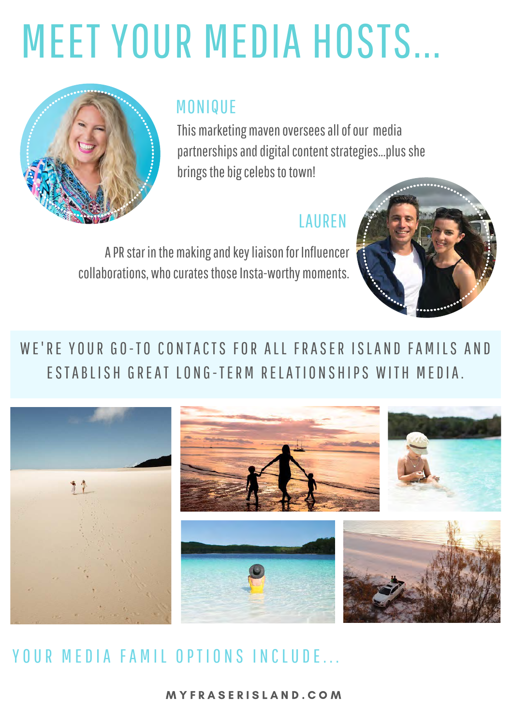# MEET YOUR MEDIA HOSTS...



#### MONIQUE

This marketing maven oversees all of our media partnerships and digital content strategies...plus she brings the big celebs to town!

#### **LAUREN**

A PR star in the making and key liaison for Influencer collaborations, who curates those Insta-worthy moments.

#### WE'RE YOUR GO-TO CONTACTS FOR ALL FRASER ISLAND FAMILS AND E STABLISH GREAT LONG-TERM RELATIONSHIPS WITH MEDIA



#### YOUR MEDIA FAMIL OPTIONS INCLUDE...

#### M Y F R A S E R I S L A N D . C O M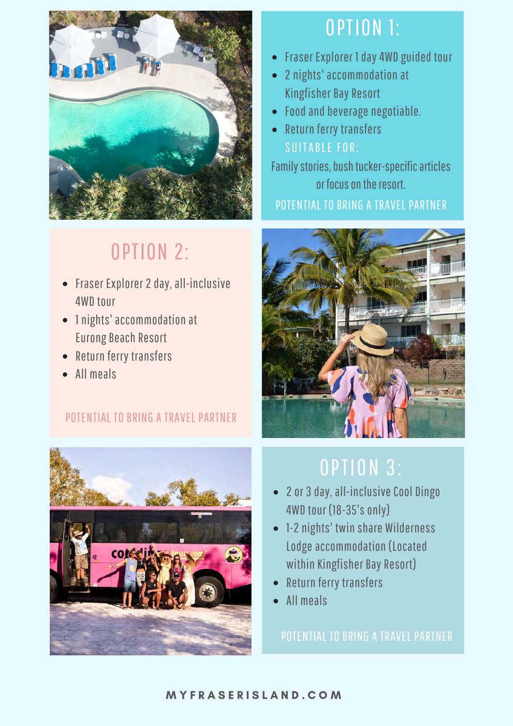

### OPTION 2:

- Fraser Explorer 2 day, all-inclusive 4WD tour
- 1 nights' accommodation at Eurong Beach Resort
- Return ferry transfers
- All meals

#### POTENTIAL TO BRING A TRAVEL PARTNER



#### OPTION 1:

- Fraser Explorer 1 day 4WD guided tour
- 2 nights' accommodation at Kingfisher Bay Resort
- Food and beverage negotiable.
- Return ferry transfers SUITABLE FOR:

Family stories, bush tucker-specific articles or focus on the resort.

POTENTIAL TO BRING A TRAVEL PARTNER



#### **OPTION 3:**

- 2 or 3 day, all-inclusive Cool Dingo 4WD tour (18-35's only)
- 1-2 nights' twin share Wilderness Lodge accommodation (Located within Kingfisher Bay Resort)
- Return ferry transfers
- All meals

POTENTIAL TO BRING A TRAVEL PARTNER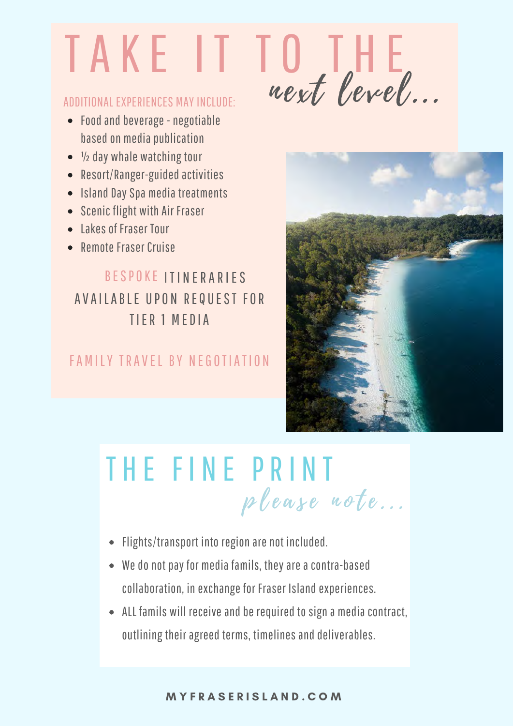# T A K E I T TO THE

- Food and beverage negotiable based on media publication
- $\bullet$   $\frac{1}{2}$  day whale watching tour
- Resort/Ranger-guided activities
- Island Day Spa media treatments
- Scenic flight with Air Fraser
- Lakes of Fraser Tour
- **Remote Fraser Cruise**

BESPOKE ITINERARIES AVAILABLE UPON REQUEST FOR TIFR 1 MFDIA

#### FAMILY TRAVEL BY NEGOTIATION



## THE FINE PRINT please note...

- Flights/transport into region are not included.
- We do not pay for media famils, they are a contra-based collaboration, in exchange for Fraser Island experiences.
- ALL famils will receive and be required to sign a media contract, outlining their agreed terms, timelines and deliverables.